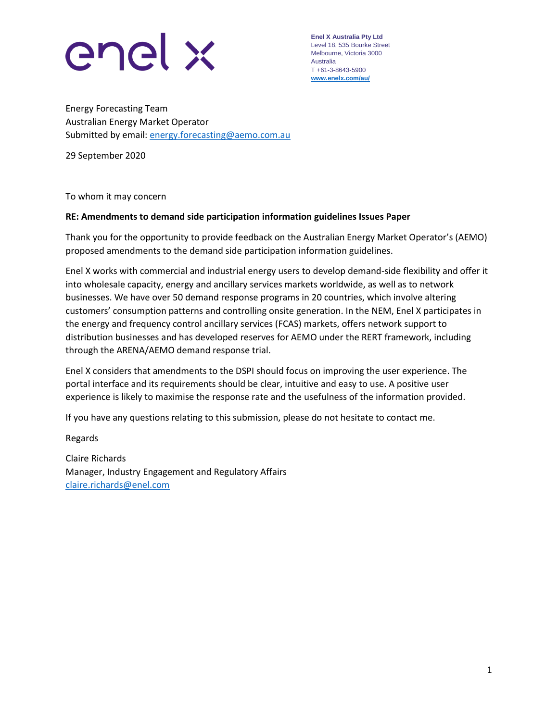

**Enel X Australia Pty Ltd** Level 18, 535 Bourke Street Melbourne, Victoria 3000 Australia T +61-3-8643-5900 **[www.enelx.com/a](http://www.enelx.com/)u/**

Energy Forecasting Team Australian Energy Market Operator Submitted by email: [energy.forecasting@aemo.com.au](mailto:energy.forecasting@aemo.com.au)

29 September 2020

To whom it may concern

## **RE: Amendments to demand side participation information guidelines Issues Paper**

Thank you for the opportunity to provide feedback on the Australian Energy Market Operator's (AEMO) proposed amendments to the demand side participation information guidelines.

Enel X works with commercial and industrial energy users to develop demand-side flexibility and offer it into wholesale capacity, energy and ancillary services markets worldwide, as well as to network businesses. We have over 50 demand response programs in 20 countries, which involve altering customers' consumption patterns and controlling onsite generation. In the NEM, Enel X participates in the energy and frequency control ancillary services (FCAS) markets, offers network support to distribution businesses and has developed reserves for AEMO under the RERT framework, including through the ARENA/AEMO demand response trial.

Enel X considers that amendments to the DSPI should focus on improving the user experience. The portal interface and its requirements should be clear, intuitive and easy to use. A positive user experience is likely to maximise the response rate and the usefulness of the information provided.

If you have any questions relating to this submission, please do not hesitate to contact me.

Regards

Claire Richards Manager, Industry Engagement and Regulatory Affairs [claire.richards@enel.com](mailto:claire.richards@enel.com)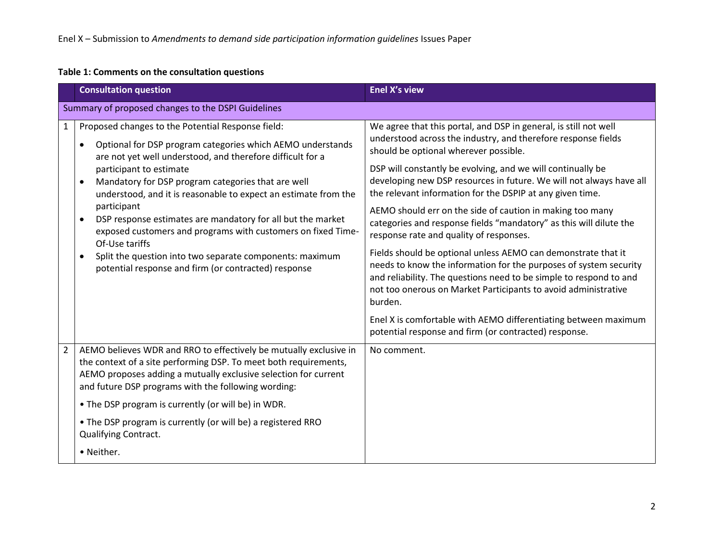## **Table 1: Comments on the consultation questions**

|                | <b>Consultation question</b>                                                                                                                                                                                                                                                                                                                                                                                                                                                                                                                                                                                                            | <b>Enel X's view</b>                                                                                                                                                                                                                                                                                                                                                                                                                                                                                                                                                                                                                                                                                                                                                                                                                                                                                                                                                             |  |  |  |
|----------------|-----------------------------------------------------------------------------------------------------------------------------------------------------------------------------------------------------------------------------------------------------------------------------------------------------------------------------------------------------------------------------------------------------------------------------------------------------------------------------------------------------------------------------------------------------------------------------------------------------------------------------------------|----------------------------------------------------------------------------------------------------------------------------------------------------------------------------------------------------------------------------------------------------------------------------------------------------------------------------------------------------------------------------------------------------------------------------------------------------------------------------------------------------------------------------------------------------------------------------------------------------------------------------------------------------------------------------------------------------------------------------------------------------------------------------------------------------------------------------------------------------------------------------------------------------------------------------------------------------------------------------------|--|--|--|
|                | Summary of proposed changes to the DSPI Guidelines                                                                                                                                                                                                                                                                                                                                                                                                                                                                                                                                                                                      |                                                                                                                                                                                                                                                                                                                                                                                                                                                                                                                                                                                                                                                                                                                                                                                                                                                                                                                                                                                  |  |  |  |
| $\mathbf{1}$   | Proposed changes to the Potential Response field:<br>Optional for DSP program categories which AEMO understands<br>٠<br>are not yet well understood, and therefore difficult for a<br>participant to estimate<br>Mandatory for DSP program categories that are well<br>$\bullet$<br>understood, and it is reasonable to expect an estimate from the<br>participant<br>DSP response estimates are mandatory for all but the market<br>exposed customers and programs with customers on fixed Time-<br>Of-Use tariffs<br>Split the question into two separate components: maximum<br>potential response and firm (or contracted) response | We agree that this portal, and DSP in general, is still not well<br>understood across the industry, and therefore response fields<br>should be optional wherever possible.<br>DSP will constantly be evolving, and we will continually be<br>developing new DSP resources in future. We will not always have all<br>the relevant information for the DSPIP at any given time.<br>AEMO should err on the side of caution in making too many<br>categories and response fields "mandatory" as this will dilute the<br>response rate and quality of responses.<br>Fields should be optional unless AEMO can demonstrate that it<br>needs to know the information for the purposes of system security<br>and reliability. The questions need to be simple to respond to and<br>not too onerous on Market Participants to avoid administrative<br>burden.<br>Enel X is comfortable with AEMO differentiating between maximum<br>potential response and firm (or contracted) response. |  |  |  |
| $\overline{2}$ | AEMO believes WDR and RRO to effectively be mutually exclusive in<br>the context of a site performing DSP. To meet both requirements,<br>AEMO proposes adding a mutually exclusive selection for current<br>and future DSP programs with the following wording:<br>• The DSP program is currently (or will be) in WDR.<br>• The DSP program is currently (or will be) a registered RRO<br><b>Qualifying Contract.</b>                                                                                                                                                                                                                   | No comment.                                                                                                                                                                                                                                                                                                                                                                                                                                                                                                                                                                                                                                                                                                                                                                                                                                                                                                                                                                      |  |  |  |
|                | • Neither.                                                                                                                                                                                                                                                                                                                                                                                                                                                                                                                                                                                                                              |                                                                                                                                                                                                                                                                                                                                                                                                                                                                                                                                                                                                                                                                                                                                                                                                                                                                                                                                                                                  |  |  |  |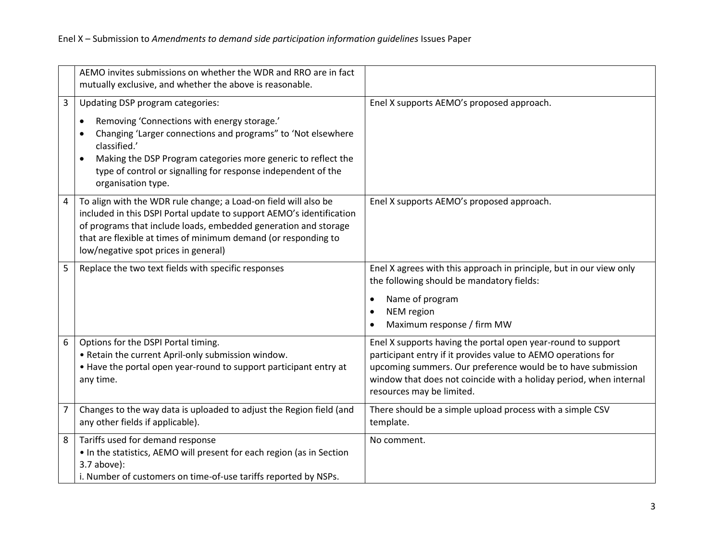|                | AEMO invites submissions on whether the WDR and RRO are in fact<br>mutually exclusive, and whether the above is reasonable.                                                                                                                                                                                             |                                                                                                                                                                                                                                                                                                  |
|----------------|-------------------------------------------------------------------------------------------------------------------------------------------------------------------------------------------------------------------------------------------------------------------------------------------------------------------------|--------------------------------------------------------------------------------------------------------------------------------------------------------------------------------------------------------------------------------------------------------------------------------------------------|
| 3              | Updating DSP program categories:<br>Removing 'Connections with energy storage.'<br>Changing 'Larger connections and programs" to 'Not elsewhere<br>classified.'<br>Making the DSP Program categories more generic to reflect the<br>type of control or signalling for response independent of the<br>organisation type. | Enel X supports AEMO's proposed approach.                                                                                                                                                                                                                                                        |
| 4              | To align with the WDR rule change; a Load-on field will also be<br>included in this DSPI Portal update to support AEMO's identification<br>of programs that include loads, embedded generation and storage<br>that are flexible at times of minimum demand (or responding to<br>low/negative spot prices in general)    | Enel X supports AEMO's proposed approach.                                                                                                                                                                                                                                                        |
| 5              | Replace the two text fields with specific responses                                                                                                                                                                                                                                                                     | Enel X agrees with this approach in principle, but in our view only<br>the following should be mandatory fields:<br>Name of program<br>$\bullet$<br>NEM region<br>$\bullet$<br>Maximum response / firm MW<br>$\bullet$                                                                           |
| 6              | Options for the DSPI Portal timing.<br>. Retain the current April-only submission window.<br>• Have the portal open year-round to support participant entry at<br>any time.                                                                                                                                             | Enel X supports having the portal open year-round to support<br>participant entry if it provides value to AEMO operations for<br>upcoming summers. Our preference would be to have submission<br>window that does not coincide with a holiday period, when internal<br>resources may be limited. |
| $\overline{7}$ | Changes to the way data is uploaded to adjust the Region field (and<br>any other fields if applicable).                                                                                                                                                                                                                 | There should be a simple upload process with a simple CSV<br>template.                                                                                                                                                                                                                           |
| 8              | Tariffs used for demand response<br>• In the statistics, AEMO will present for each region (as in Section<br>$3.7$ above):<br>i. Number of customers on time-of-use tariffs reported by NSPs.                                                                                                                           | No comment.                                                                                                                                                                                                                                                                                      |